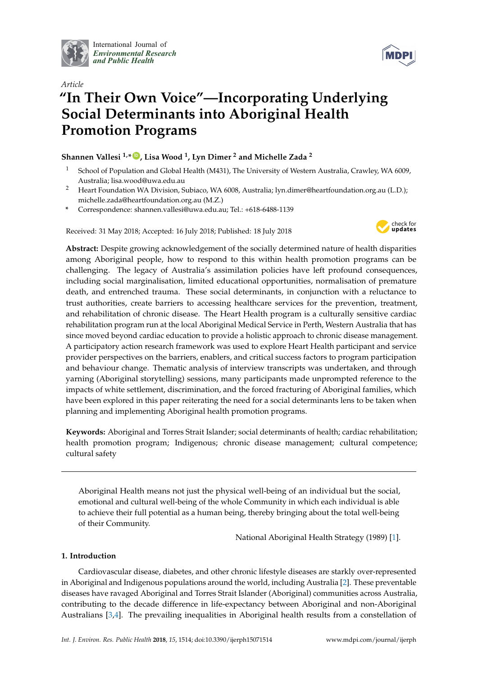

International Journal of *[Environmental Research](http://www.mdpi.com/journal/ijerph) and Public Health*



# *Article* **"In Their Own Voice"—Incorporating Underlying Social Determinants into Aboriginal Health Promotion Programs**

# **Shannen Vallesi 1,\* [ID](https://orcid.org/0000-0003-1140-3385) , Lisa Wood <sup>1</sup> , Lyn Dimer <sup>2</sup> and Michelle Zada <sup>2</sup>**

- <sup>1</sup> School of Population and Global Health (M431), The University of Western Australia, Crawley, WA 6009, Australia; lisa.wood@uwa.edu.au
- <sup>2</sup> Heart Foundation WA Division, Subiaco, WA 6008, Australia; lyn.dimer@heartfoundation.org.au (L.D.); michelle.zada@heartfoundation.org.au (M.Z.)
- **\*** Correspondence: shannen.vallesi@uwa.edu.au; Tel.: +618-6488-1139

Received: 31 May 2018; Accepted: 16 July 2018; Published: 18 July 2018



**Abstract:** Despite growing acknowledgement of the socially determined nature of health disparities among Aboriginal people, how to respond to this within health promotion programs can be challenging. The legacy of Australia's assimilation policies have left profound consequences, including social marginalisation, limited educational opportunities, normalisation of premature death, and entrenched trauma. These social determinants, in conjunction with a reluctance to trust authorities, create barriers to accessing healthcare services for the prevention, treatment, and rehabilitation of chronic disease. The Heart Health program is a culturally sensitive cardiac rehabilitation program run at the local Aboriginal Medical Service in Perth, Western Australia that has since moved beyond cardiac education to provide a holistic approach to chronic disease management. A participatory action research framework was used to explore Heart Health participant and service provider perspectives on the barriers, enablers, and critical success factors to program participation and behaviour change. Thematic analysis of interview transcripts was undertaken, and through yarning (Aboriginal storytelling) sessions, many participants made unprompted reference to the impacts of white settlement, discrimination, and the forced fracturing of Aboriginal families, which have been explored in this paper reiterating the need for a social determinants lens to be taken when planning and implementing Aboriginal health promotion programs.

**Keywords:** Aboriginal and Torres Strait Islander; social determinants of health; cardiac rehabilitation; health promotion program; Indigenous; chronic disease management; cultural competence; cultural safety

Aboriginal Health means not just the physical well-being of an individual but the social, emotional and cultural well-being of the whole Community in which each individual is able to achieve their full potential as a human being, thereby bringing about the total well-being of their Community.

National Aboriginal Health Strategy (1989) [\[1\]](#page-11-0).

# **1. Introduction**

Cardiovascular disease, diabetes, and other chronic lifestyle diseases are starkly over-represented in Aboriginal and Indigenous populations around the world, including Australia [\[2\]](#page-11-1). These preventable diseases have ravaged Aboriginal and Torres Strait Islander (Aboriginal) communities across Australia, contributing to the decade difference in life-expectancy between Aboriginal and non-Aboriginal Australians [\[3,](#page-11-2)[4\]](#page-11-3). The prevailing inequalities in Aboriginal health results from a constellation of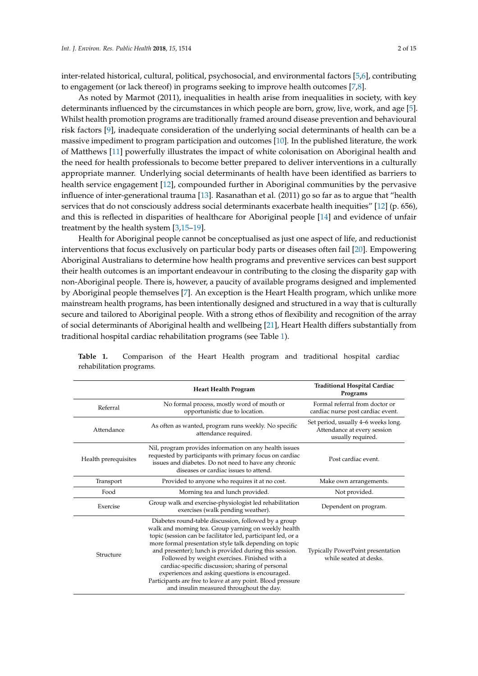inter-related historical, cultural, political, psychosocial, and environmental factors [\[5,](#page-12-0)[6\]](#page-12-1), contributing to engagement (or lack thereof) in programs seeking to improve health outcomes [\[7,](#page-12-2)[8\]](#page-12-3).

As noted by Marmot (2011), inequalities in health arise from inequalities in society, with key determinants influenced by the circumstances in which people are born, grow, live, work, and age [\[5\]](#page-12-0). Whilst health promotion programs are traditionally framed around disease prevention and behavioural risk factors [\[9\]](#page-12-4), inadequate consideration of the underlying social determinants of health can be a massive impediment to program participation and outcomes [\[10\]](#page-12-5). In the published literature, the work of Matthews [\[11\]](#page-12-6) powerfully illustrates the impact of white colonisation on Aboriginal health and the need for health professionals to become better prepared to deliver interventions in a culturally appropriate manner. Underlying social determinants of health have been identified as barriers to health service engagement [\[12\]](#page-12-7), compounded further in Aboriginal communities by the pervasive influence of inter-generational trauma [\[13\]](#page-12-8). Rasanathan et al. (2011) go so far as to argue that "health services that do not consciously address social determinants exacerbate health inequities" [\[12\]](#page-12-7) (p. 656), and this is reflected in disparities of healthcare for Aboriginal people [\[14\]](#page-12-9) and evidence of unfair treatment by the health system [\[3,](#page-11-2)[15–](#page-12-10)[19\]](#page-12-11).

Health for Aboriginal people cannot be conceptualised as just one aspect of life, and reductionist interventions that focus exclusively on particular body parts or diseases often fail [\[20\]](#page-12-12). Empowering Aboriginal Australians to determine how health programs and preventive services can best support their health outcomes is an important endeavour in contributing to the closing the disparity gap with non-Aboriginal people. There is, however, a paucity of available programs designed and implemented by Aboriginal people themselves [\[7\]](#page-12-2). An exception is the Heart Health program, which unlike more mainstream health programs, has been intentionally designed and structured in a way that is culturally secure and tailored to Aboriginal people. With a strong ethos of flexibility and recognition of the array of social determinants of Aboriginal health and wellbeing [\[21\]](#page-12-13), Heart Health differs substantially from traditional hospital cardiac rehabilitation programs (see Table [1\)](#page-1-0).

|                      | <b>Heart Health Program</b>                                                                                                                                                                                                                                                                                                                                                                                                                                                                                                                                         | <b>Traditional Hospital Cardiac</b><br>Programs                                         |
|----------------------|---------------------------------------------------------------------------------------------------------------------------------------------------------------------------------------------------------------------------------------------------------------------------------------------------------------------------------------------------------------------------------------------------------------------------------------------------------------------------------------------------------------------------------------------------------------------|-----------------------------------------------------------------------------------------|
| Referral             | No formal process, mostly word of mouth or<br>opportunistic due to location.                                                                                                                                                                                                                                                                                                                                                                                                                                                                                        | Formal referral from doctor or<br>cardiac nurse post cardiac event.                     |
| Attendance           | As often as wanted, program runs weekly. No specific<br>attendance required.                                                                                                                                                                                                                                                                                                                                                                                                                                                                                        | Set period, usually 4–6 weeks long.<br>Attendance at every session<br>usually required. |
| Health prerequisites | Nil, program provides information on any health issues<br>requested by participants with primary focus on cardiac<br>issues and diabetes. Do not need to have any chronic<br>diseases or cardiac issues to attend.                                                                                                                                                                                                                                                                                                                                                  | Post cardiac event.                                                                     |
| Transport            | Provided to anyone who requires it at no cost.                                                                                                                                                                                                                                                                                                                                                                                                                                                                                                                      | Make own arrangements.                                                                  |
| Food                 | Morning tea and lunch provided.                                                                                                                                                                                                                                                                                                                                                                                                                                                                                                                                     | Not provided.                                                                           |
| Exercise             | Group walk and exercise-physiologist led rehabilitation<br>exercises (walk pending weather).                                                                                                                                                                                                                                                                                                                                                                                                                                                                        | Dependent on program.                                                                   |
| Structure            | Diabetes round-table discussion, followed by a group<br>walk and morning tea. Group yarning on weekly health<br>topic (session can be facilitator led, participant led, or a<br>more formal presentation style talk depending on topic<br>and presenter); lunch is provided during this session.<br>Followed by weight exercises. Finished with a<br>cardiac-specific discussion; sharing of personal<br>experiences and asking questions is encouraged.<br>Participants are free to leave at any point. Blood pressure<br>and insulin measured throughout the day. | Typically PowerPoint presentation<br>while seated at desks.                             |

<span id="page-1-0"></span>**Table 1.** Comparison of the Heart Health program and traditional hospital cardiac rehabilitation programs.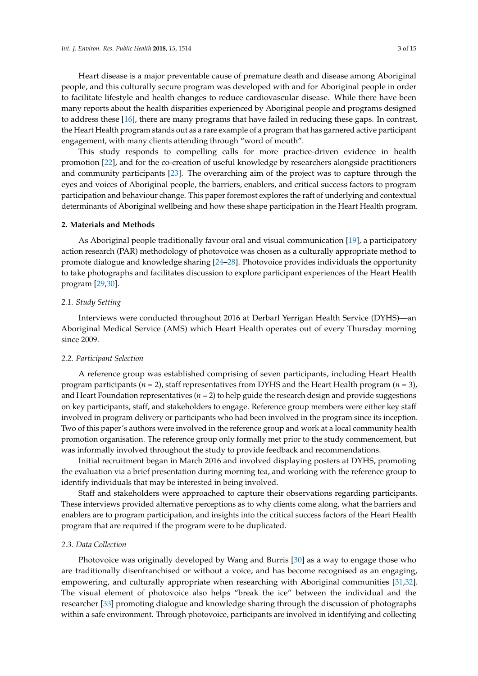Heart disease is a major preventable cause of premature death and disease among Aboriginal people, and this culturally secure program was developed with and for Aboriginal people in order to facilitate lifestyle and health changes to reduce cardiovascular disease. While there have been many reports about the health disparities experienced by Aboriginal people and programs designed to address these [\[16\]](#page-12-14), there are many programs that have failed in reducing these gaps. In contrast, the Heart Health program stands out as a rare example of a program that has garnered active participant engagement, with many clients attending through "word of mouth".

This study responds to compelling calls for more practice-driven evidence in health promotion [\[22\]](#page-12-15), and for the co-creation of useful knowledge by researchers alongside practitioners and community participants [\[23\]](#page-12-16). The overarching aim of the project was to capture through the eyes and voices of Aboriginal people, the barriers, enablers, and critical success factors to program participation and behaviour change. This paper foremost explores the raft of underlying and contextual determinants of Aboriginal wellbeing and how these shape participation in the Heart Health program.

## **2. Materials and Methods**

As Aboriginal people traditionally favour oral and visual communication [\[19\]](#page-12-11), a participatory action research (PAR) methodology of photovoice was chosen as a culturally appropriate method to promote dialogue and knowledge sharing [\[24](#page-12-17)[–28\]](#page-13-0). Photovoice provides individuals the opportunity to take photographs and facilitates discussion to explore participant experiences of the Heart Health program [\[29](#page-13-1)[,30\]](#page-13-2).

# *2.1. Study Setting*

Interviews were conducted throughout 2016 at Derbarl Yerrigan Health Service (DYHS)—an Aboriginal Medical Service (AMS) which Heart Health operates out of every Thursday morning since 2009.

#### *2.2. Participant Selection*

A reference group was established comprising of seven participants, including Heart Health program participants (*n* = 2), staff representatives from DYHS and the Heart Health program (*n* = 3), and Heart Foundation representatives (*n* = 2) to help guide the research design and provide suggestions on key participants, staff, and stakeholders to engage. Reference group members were either key staff involved in program delivery or participants who had been involved in the program since its inception. Two of this paper's authors were involved in the reference group and work at a local community health promotion organisation. The reference group only formally met prior to the study commencement, but was informally involved throughout the study to provide feedback and recommendations.

Initial recruitment began in March 2016 and involved displaying posters at DYHS, promoting the evaluation via a brief presentation during morning tea, and working with the reference group to identify individuals that may be interested in being involved.

Staff and stakeholders were approached to capture their observations regarding participants. These interviews provided alternative perceptions as to why clients come along, what the barriers and enablers are to program participation, and insights into the critical success factors of the Heart Health program that are required if the program were to be duplicated.

#### *2.3. Data Collection*

Photovoice was originally developed by Wang and Burris [\[30\]](#page-13-2) as a way to engage those who are traditionally disenfranchised or without a voice, and has become recognised as an engaging, empowering, and culturally appropriate when researching with Aboriginal communities [\[31,](#page-13-3)[32\]](#page-13-4). The visual element of photovoice also helps "break the ice" between the individual and the researcher [\[33\]](#page-13-5) promoting dialogue and knowledge sharing through the discussion of photographs within a safe environment. Through photovoice, participants are involved in identifying and collecting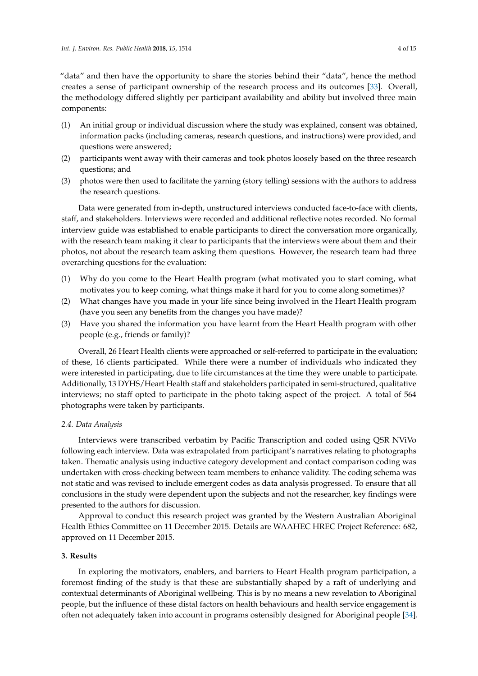"data" and then have the opportunity to share the stories behind their "data", hence the method creates a sense of participant ownership of the research process and its outcomes [\[33\]](#page-13-5). Overall, the methodology differed slightly per participant availability and ability but involved three main components:

- (1) An initial group or individual discussion where the study was explained, consent was obtained, information packs (including cameras, research questions, and instructions) were provided, and questions were answered;
- (2) participants went away with their cameras and took photos loosely based on the three research questions; and
- (3) photos were then used to facilitate the yarning (story telling) sessions with the authors to address the research questions.

Data were generated from in-depth, unstructured interviews conducted face-to-face with clients, staff, and stakeholders. Interviews were recorded and additional reflective notes recorded. No formal interview guide was established to enable participants to direct the conversation more organically, with the research team making it clear to participants that the interviews were about them and their photos, not about the research team asking them questions. However, the research team had three overarching questions for the evaluation:

- (1) Why do you come to the Heart Health program (what motivated you to start coming, what motivates you to keep coming, what things make it hard for you to come along sometimes)?
- (2) What changes have you made in your life since being involved in the Heart Health program (have you seen any benefits from the changes you have made)?
- (3) Have you shared the information you have learnt from the Heart Health program with other people (e.g., friends or family)?

Overall, 26 Heart Health clients were approached or self-referred to participate in the evaluation; of these, 16 clients participated. While there were a number of individuals who indicated they were interested in participating, due to life circumstances at the time they were unable to participate. Additionally, 13 DYHS/Heart Health staff and stakeholders participated in semi-structured, qualitative interviews; no staff opted to participate in the photo taking aspect of the project. A total of 564 photographs were taken by participants.

### *2.4. Data Analysis*

Interviews were transcribed verbatim by Pacific Transcription and coded using QSR NViVo following each interview. Data was extrapolated from participant's narratives relating to photographs taken. Thematic analysis using inductive category development and contact comparison coding was undertaken with cross-checking between team members to enhance validity. The coding schema was not static and was revised to include emergent codes as data analysis progressed. To ensure that all conclusions in the study were dependent upon the subjects and not the researcher, key findings were presented to the authors for discussion.

Approval to conduct this research project was granted by the Western Australian Aboriginal Health Ethics Committee on 11 December 2015. Details are WAAHEC HREC Project Reference: 682, approved on 11 December 2015.

# **3. Results**

In exploring the motivators, enablers, and barriers to Heart Health program participation, a foremost finding of the study is that these are substantially shaped by a raft of underlying and contextual determinants of Aboriginal wellbeing. This is by no means a new revelation to Aboriginal people, but the influence of these distal factors on health behaviours and health service engagement is often not adequately taken into account in programs ostensibly designed for Aboriginal people [\[34\]](#page-13-6).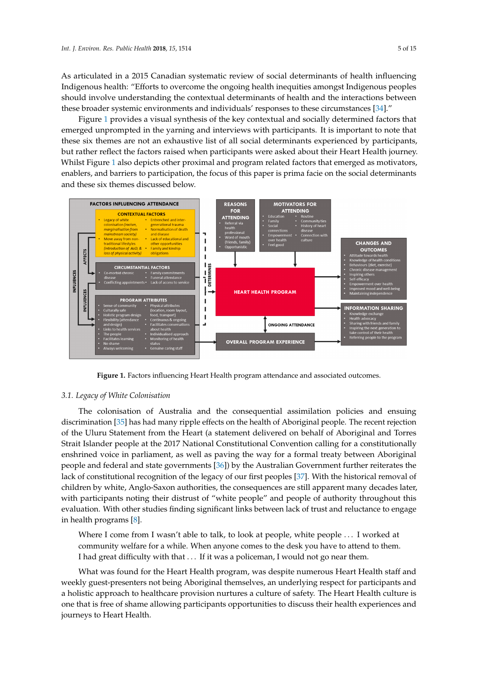As articulated in a 2015 Canadian systematic review of social determinants of health influencing Indigenous health: "Efforts to overcome the ongoing health inequities amongst Indigenous peoples should involve understanding the contextual determinants of health and the interactions between these broader systemic environments and individuals' responses to these circumstances [\[34\]](#page-13-6)."

Figure 1 provides a visual synthesis of the key contextual and socially determined factors that Figu[re](#page-4-0) 1 provides a visual synthesis of the key contextual and socially determined factors that emerged unprompted in the yarning and interviews with participants. It is important to note that emerged unprompted in the yarning and interviews with participants. It is important to note that these six themes are not an exhaustive list of all social determinants experienced by participants, these six themes are not an exhaustive list of all social determinants experienced by participants, but but rather reflect the factors raised when participants were asked about their Heart Health journey. rather reflect the factors raised when participants were asked about their Heart Health journey. Whilst Figure 1 also depicts other proximal and program related factors that emerged as motivators, Whilst Figu[re](#page-4-0) 1 also depicts other proximal and program related factors that emerged as motivators, enablers, and barriers to participation, the focus of this paper is prima facie on the social determinants enablers, and barriers to participation, the focus of this paper is prima facie on the social determinants and these six themes discussed below. and these six themes discussed below.

<span id="page-4-0"></span>

**Figure 1.** Factors influencing Heart Health program attendance and associated outcomes. **Figure 1.** Factors influencing Heart Health program attendance and associated outcomes.

#### $T_{\rm eff}$  and the colonisation of  $A$ ustralia and the consequential assimilation policies and ensuing and ensuing and ensuing and ensuing and ensuing and ensuing and ensuing and ensuing and ensuing and ensuing and ensuing *3.1. Legacy of White Colonisation*

The colonisation of Australia and the consequential assimilation policies and ensuing discrimination [\[35\]](#page-13-7) has had many ripple effects on the health of Aboriginal people. The recent rejection of the Uluru Statement from the Heart (a statement delivered on behalf of Aboriginal and Torres Strait Islander people at the 2017 National Constitutional Convention calling for a constitutionally enshrined voice in parliament, as well as paving the way for a formal treaty between Aboriginal people and federal and state governments [36]) by the Australian Government further reiterates the lack of constitutional recognition of the legacy of our first peoples [37]. With the historical removal of children by white, Anglo-Saxon authorities, the consequences are still apparent many decades later, with participants noting their distrust of "white people" and people of authority throughout this evaluation. With other studies finding significant links between lack of trust and reluctance to engage in health programs [\[8\]](#page-12-3).  $\blacksquare$ 

Where I come from I wasn't able to talk, to look at people, white people . . . I worked at community welfare for a while. When anyone comes to the desk you have to attend to them. I had great difficulty with that . . . If it was a policeman, I would not go near them.

What was found for the Heart Health program, was despite numerous Heart Health staff and a holistic approach to healthcare provision nurture provision nurture of safety. The Health culture is a culture is the Health culture is a culture in the Health culture is a culture in the Health culture is a culture in t weekly guest-presenters not being Aboriginal themselves, an underlying respect for participants and version of the state and the state and the state of the state and the state and the state and the state and the state and a holistic approach to healthcare provision nurtures a culture of safety. The Heart Health culture is journeys to Heart Health. The my Elders with respect in a carrier in a carend with the set of the set of the set of the set of the set of the set of the set of the set of the set of the set of the set of the set of the set one that is free of shame allowing participants opportunities to discuss their health experiences and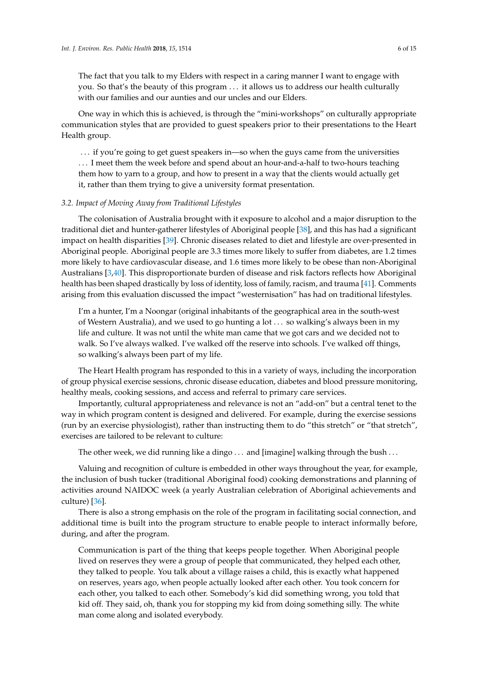The fact that you talk to my Elders with respect in a caring manner I want to engage with you. So that's the beauty of this program . . . it allows us to address our health culturally with our families and our aunties and our uncles and our Elders.

One way in which this is achieved, is through the "mini-workshops" on culturally appropriate communication styles that are provided to guest speakers prior to their presentations to the Heart Health group.

. . . if you're going to get guest speakers in—so when the guys came from the universities . . . I meet them the week before and spend about an hour-and-a-half to two-hours teaching them how to yarn to a group, and how to present in a way that the clients would actually get it, rather than them trying to give a university format presentation.

## *3.2. Impact of Moving Away from Traditional Lifestyles*

The colonisation of Australia brought with it exposure to alcohol and a major disruption to the traditional diet and hunter-gatherer lifestyles of Aboriginal people [\[38\]](#page-13-10), and this has had a significant impact on health disparities [\[39\]](#page-13-11). Chronic diseases related to diet and lifestyle are over-presented in Aboriginal people. Aboriginal people are 3.3 times more likely to suffer from diabetes, are 1.2 times more likely to have cardiovascular disease, and 1.6 times more likely to be obese than non-Aboriginal Australians [\[3](#page-11-2)[,40\]](#page-13-12). This disproportionate burden of disease and risk factors reflects how Aboriginal health has been shaped drastically by loss of identity, loss of family, racism, and trauma [\[41\]](#page-13-13). Comments arising from this evaluation discussed the impact "westernisation" has had on traditional lifestyles.

I'm a hunter, I'm a Noongar (original inhabitants of the geographical area in the south-west of Western Australia), and we used to go hunting a lot . . . so walking's always been in my life and culture. It was not until the white man came that we got cars and we decided not to walk. So I've always walked. I've walked off the reserve into schools. I've walked off things, so walking's always been part of my life.

The Heart Health program has responded to this in a variety of ways, including the incorporation of group physical exercise sessions, chronic disease education, diabetes and blood pressure monitoring, healthy meals, cooking sessions, and access and referral to primary care services.

Importantly, cultural appropriateness and relevance is not an "add-on" but a central tenet to the way in which program content is designed and delivered. For example, during the exercise sessions (run by an exercise physiologist), rather than instructing them to do "this stretch" or "that stretch", exercises are tailored to be relevant to culture:

The other week, we did running like a dingo  $\dots$  and [imagine] walking through the bush  $\dots$ 

Valuing and recognition of culture is embedded in other ways throughout the year, for example, the inclusion of bush tucker (traditional Aboriginal food) cooking demonstrations and planning of activities around NAIDOC week (a yearly Australian celebration of Aboriginal achievements and culture) [\[36\]](#page-13-8).

There is also a strong emphasis on the role of the program in facilitating social connection, and additional time is built into the program structure to enable people to interact informally before, during, and after the program.

Communication is part of the thing that keeps people together. When Aboriginal people lived on reserves they were a group of people that communicated, they helped each other, they talked to people. You talk about a village raises a child, this is exactly what happened on reserves, years ago, when people actually looked after each other. You took concern for each other, you talked to each other. Somebody's kid did something wrong, you told that kid off. They said, oh, thank you for stopping my kid from doing something silly. The white man come along and isolated everybody.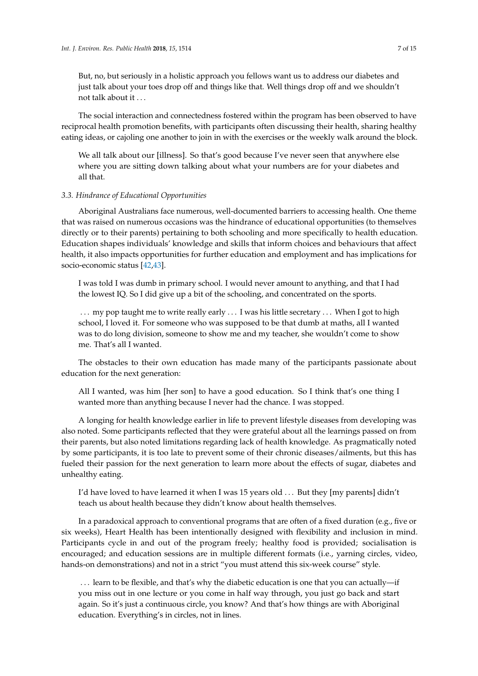But, no, but seriously in a holistic approach you fellows want us to address our diabetes and just talk about your toes drop off and things like that. Well things drop off and we shouldn't not talk about it . . .

The social interaction and connectedness fostered within the program has been observed to have reciprocal health promotion benefits, with participants often discussing their health, sharing healthy eating ideas, or cajoling one another to join in with the exercises or the weekly walk around the block.

We all talk about our [illness]. So that's good because I've never seen that anywhere else where you are sitting down talking about what your numbers are for your diabetes and all that.

### *3.3. Hindrance of Educational Opportunities*

Aboriginal Australians face numerous, well-documented barriers to accessing health. One theme that was raised on numerous occasions was the hindrance of educational opportunities (to themselves directly or to their parents) pertaining to both schooling and more specifically to health education. Education shapes individuals' knowledge and skills that inform choices and behaviours that affect health, it also impacts opportunities for further education and employment and has implications for socio-economic status [\[42](#page-13-14)[,43\]](#page-13-15).

I was told I was dumb in primary school. I would never amount to anything, and that I had the lowest IQ. So I did give up a bit of the schooling, and concentrated on the sports.

... my pop taught me to write really early ... I was his little secretary ... When I got to high school, I loved it. For someone who was supposed to be that dumb at maths, all I wanted was to do long division, someone to show me and my teacher, she wouldn't come to show me. That's all I wanted.

The obstacles to their own education has made many of the participants passionate about education for the next generation:

All I wanted, was him [her son] to have a good education. So I think that's one thing I wanted more than anything because I never had the chance. I was stopped.

A longing for health knowledge earlier in life to prevent lifestyle diseases from developing was also noted. Some participants reflected that they were grateful about all the learnings passed on from their parents, but also noted limitations regarding lack of health knowledge. As pragmatically noted by some participants, it is too late to prevent some of their chronic diseases/ailments, but this has fueled their passion for the next generation to learn more about the effects of sugar, diabetes and unhealthy eating.

I'd have loved to have learned it when I was 15 years old . . . But they [my parents] didn't teach us about health because they didn't know about health themselves.

In a paradoxical approach to conventional programs that are often of a fixed duration (e.g., five or six weeks), Heart Health has been intentionally designed with flexibility and inclusion in mind. Participants cycle in and out of the program freely; healthy food is provided; socialisation is encouraged; and education sessions are in multiple different formats (i.e., yarning circles, video, hands-on demonstrations) and not in a strict "you must attend this six-week course" style.

. . . learn to be flexible, and that's why the diabetic education is one that you can actually—if you miss out in one lecture or you come in half way through, you just go back and start again. So it's just a continuous circle, you know? And that's how things are with Aboriginal education. Everything's in circles, not in lines.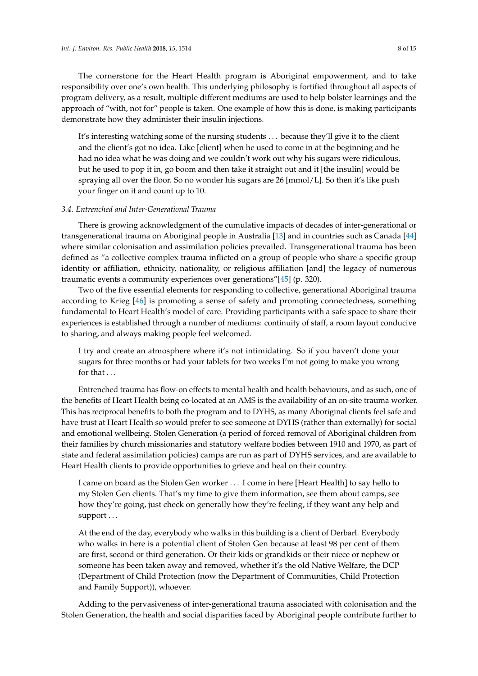The cornerstone for the Heart Health program is Aboriginal empowerment, and to take responsibility over one's own health. This underlying philosophy is fortified throughout all aspects of program delivery, as a result, multiple different mediums are used to help bolster learnings and the approach of "with, not for" people is taken. One example of how this is done, is making participants demonstrate how they administer their insulin injections.

It's interesting watching some of the nursing students . . . because they'll give it to the client and the client's got no idea. Like [client] when he used to come in at the beginning and he had no idea what he was doing and we couldn't work out why his sugars were ridiculous, but he used to pop it in, go boom and then take it straight out and it [the insulin] would be spraying all over the floor. So no wonder his sugars are 26 [mmol/L]. So then it's like push your finger on it and count up to 10.

#### *3.4. Entrenched and Inter-Generational Trauma*

There is growing acknowledgment of the cumulative impacts of decades of inter-generational or transgenerational trauma on Aboriginal people in Australia [\[13\]](#page-12-8) and in countries such as Canada [\[44\]](#page-13-16) where similar colonisation and assimilation policies prevailed. Transgenerational trauma has been defined as "a collective complex trauma inflicted on a group of people who share a specific group identity or affiliation, ethnicity, nationality, or religious affiliation [and] the legacy of numerous traumatic events a community experiences over generations"[\[45\]](#page-13-17) (p. 320).

Two of the five essential elements for responding to collective, generational Aboriginal trauma according to Krieg [\[46\]](#page-13-18) is promoting a sense of safety and promoting connectedness, something fundamental to Heart Health's model of care. Providing participants with a safe space to share their experiences is established through a number of mediums: continuity of staff, a room layout conducive to sharing, and always making people feel welcomed.

I try and create an atmosphere where it's not intimidating. So if you haven't done your sugars for three months or had your tablets for two weeks I'm not going to make you wrong for that ...

Entrenched trauma has flow-on effects to mental health and health behaviours, and as such, one of the benefits of Heart Health being co-located at an AMS is the availability of an on-site trauma worker. This has reciprocal benefits to both the program and to DYHS, as many Aboriginal clients feel safe and have trust at Heart Health so would prefer to see someone at DYHS (rather than externally) for social and emotional wellbeing. Stolen Generation (a period of forced removal of Aboriginal children from their families by church missionaries and statutory welfare bodies between 1910 and 1970, as part of state and federal assimilation policies) camps are run as part of DYHS services, and are available to Heart Health clients to provide opportunities to grieve and heal on their country.

I came on board as the Stolen Gen worker . . . I come in here [Heart Health] to say hello to my Stolen Gen clients. That's my time to give them information, see them about camps, see how they're going, just check on generally how they're feeling, if they want any help and support . . .

At the end of the day, everybody who walks in this building is a client of Derbarl. Everybody who walks in here is a potential client of Stolen Gen because at least 98 per cent of them are first, second or third generation. Or their kids or grandkids or their niece or nephew or someone has been taken away and removed, whether it's the old Native Welfare, the DCP (Department of Child Protection (now the Department of Communities, Child Protection and Family Support)), whoever.

Adding to the pervasiveness of inter-generational trauma associated with colonisation and the Stolen Generation, the health and social disparities faced by Aboriginal people contribute further to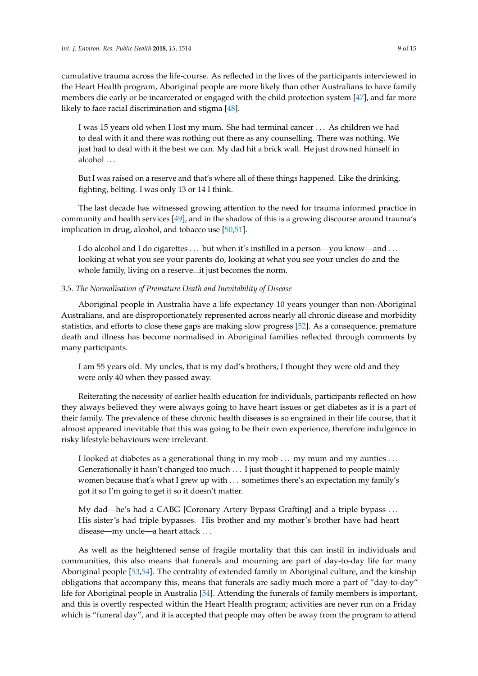cumulative trauma across the life-course. As reflected in the lives of the participants interviewed in the Heart Health program, Aboriginal people are more likely than other Australians to have family members die early or be incarcerated or engaged with the child protection system [\[47\]](#page-13-19), and far more likely to face racial discrimination and stigma [\[48\]](#page-14-0).

I was 15 years old when I lost my mum. She had terminal cancer . . . As children we had to deal with it and there was nothing out there as any counselling. There was nothing. We just had to deal with it the best we can. My dad hit a brick wall. He just drowned himself in alcohol . . .

But I was raised on a reserve and that's where all of these things happened. Like the drinking, fighting, belting. I was only 13 or 14 I think.

The last decade has witnessed growing attention to the need for trauma informed practice in community and health services [\[49\]](#page-14-1), and in the shadow of this is a growing discourse around trauma's implication in drug, alcohol, and tobacco use [\[50](#page-14-2)[,51\]](#page-14-3).

I do alcohol and I do cigarettes ... but when it's instilled in a person—you know—and ... looking at what you see your parents do, looking at what you see your uncles do and the whole family, living on a reserve...it just becomes the norm.

# *3.5. The Normalisation of Premature Death and Inevitability of Disease*

Aboriginal people in Australia have a life expectancy 10 years younger than non-Aboriginal Australians, and are disproportionately represented across nearly all chronic disease and morbidity statistics, and efforts to close these gaps are making slow progress [\[52\]](#page-14-4). As a consequence, premature death and illness has become normalised in Aboriginal families reflected through comments by many participants.

I am 55 years old. My uncles, that is my dad's brothers, I thought they were old and they were only 40 when they passed away.

Reiterating the necessity of earlier health education for individuals, participants reflected on how they always believed they were always going to have heart issues or get diabetes as it is a part of their family. The prevalence of these chronic health diseases is so engrained in their life course, that it almost appeared inevitable that this was going to be their own experience, therefore indulgence in risky lifestyle behaviours were irrelevant.

I looked at diabetes as a generational thing in my mob . . . my mum and my aunties . . . Generationally it hasn't changed too much . . . I just thought it happened to people mainly women because that's what I grew up with . . . sometimes there's an expectation my family's got it so I'm going to get it so it doesn't matter.

My dad—he's had a CABG [Coronary Artery Bypass Grafting] and a triple bypass . . . His sister's had triple bypasses. His brother and my mother's brother have had heart disease—my uncle—a heart attack . . .

As well as the heightened sense of fragile mortality that this can instil in individuals and communities, this also means that funerals and mourning are part of day-to-day life for many Aboriginal people [\[53](#page-14-5)[,54\]](#page-14-6). The centrality of extended family in Aboriginal culture, and the kinship obligations that accompany this, means that funerals are sadly much more a part of "day-to-day" life for Aboriginal people in Australia [\[54\]](#page-14-6). Attending the funerals of family members is important, and this is overtly respected within the Heart Health program; activities are never run on a Friday which is "funeral day", and it is accepted that people may often be away from the program to attend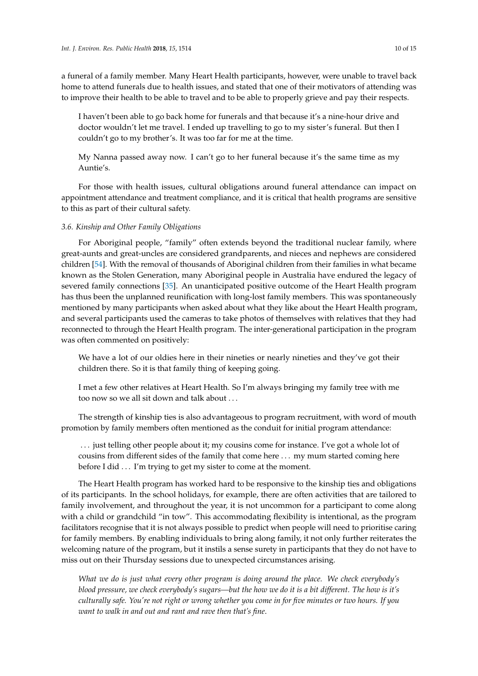a funeral of a family member. Many Heart Health participants, however, were unable to travel back home to attend funerals due to health issues, and stated that one of their motivators of attending was to improve their health to be able to travel and to be able to properly grieve and pay their respects.

I haven't been able to go back home for funerals and that because it's a nine-hour drive and doctor wouldn't let me travel. I ended up travelling to go to my sister's funeral. But then I couldn't go to my brother's. It was too far for me at the time.

My Nanna passed away now. I can't go to her funeral because it's the same time as my Auntie's.

For those with health issues, cultural obligations around funeral attendance can impact on appointment attendance and treatment compliance, and it is critical that health programs are sensitive to this as part of their cultural safety.

### *3.6. Kinship and Other Family Obligations*

For Aboriginal people, "family" often extends beyond the traditional nuclear family, where great-aunts and great-uncles are considered grandparents, and nieces and nephews are considered children [\[54\]](#page-14-6). With the removal of thousands of Aboriginal children from their families in what became known as the Stolen Generation, many Aboriginal people in Australia have endured the legacy of severed family connections [\[35\]](#page-13-7). An unanticipated positive outcome of the Heart Health program has thus been the unplanned reunification with long-lost family members. This was spontaneously mentioned by many participants when asked about what they like about the Heart Health program, and several participants used the cameras to take photos of themselves with relatives that they had reconnected to through the Heart Health program. The inter-generational participation in the program was often commented on positively:

We have a lot of our oldies here in their nineties or nearly nineties and they've got their children there. So it is that family thing of keeping going.

I met a few other relatives at Heart Health. So I'm always bringing my family tree with me too now so we all sit down and talk about . . .

The strength of kinship ties is also advantageous to program recruitment, with word of mouth promotion by family members often mentioned as the conduit for initial program attendance:

. . . just telling other people about it; my cousins come for instance. I've got a whole lot of cousins from different sides of the family that come here . . . my mum started coming here before I did . . . I'm trying to get my sister to come at the moment.

The Heart Health program has worked hard to be responsive to the kinship ties and obligations of its participants. In the school holidays, for example, there are often activities that are tailored to family involvement, and throughout the year, it is not uncommon for a participant to come along with a child or grandchild "in tow". This accommodating flexibility is intentional, as the program facilitators recognise that it is not always possible to predict when people will need to prioritise caring for family members. By enabling individuals to bring along family, it not only further reiterates the welcoming nature of the program, but it instils a sense surety in participants that they do not have to miss out on their Thursday sessions due to unexpected circumstances arising.

*What we do is just what every other program is doing around the place. We check everybody's blood pressure, we check everybody's sugars—but the how we do it is a bit different. The how is it's culturally safe. You're not right or wrong whether you come in for five minutes or two hours. If you want to walk in and out and rant and rave then that's fine*.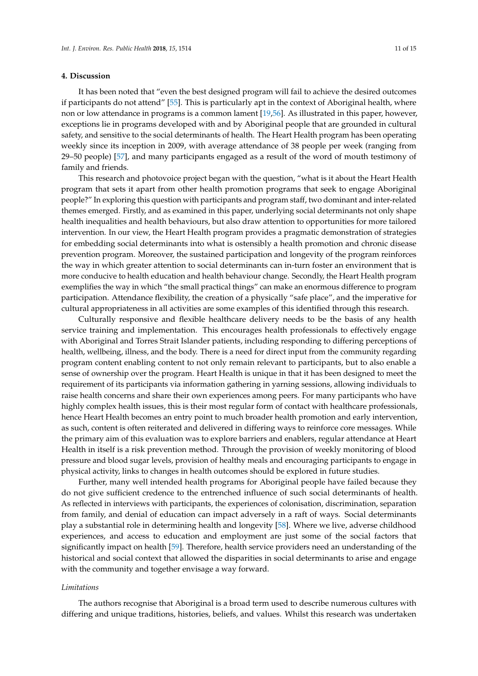#### **4. Discussion**

It has been noted that "even the best designed program will fail to achieve the desired outcomes if participants do not attend" [\[55\]](#page-14-7). This is particularly apt in the context of Aboriginal health, where non or low attendance in programs is a common lament [\[19,](#page-12-11)[56\]](#page-14-8). As illustrated in this paper, however, exceptions lie in programs developed with and by Aboriginal people that are grounded in cultural safety, and sensitive to the social determinants of health. The Heart Health program has been operating weekly since its inception in 2009, with average attendance of 38 people per week (ranging from 29–50 people) [\[57\]](#page-14-9), and many participants engaged as a result of the word of mouth testimony of family and friends.

This research and photovoice project began with the question, "what is it about the Heart Health program that sets it apart from other health promotion programs that seek to engage Aboriginal people?" In exploring this question with participants and program staff, two dominant and inter-related themes emerged. Firstly, and as examined in this paper, underlying social determinants not only shape health inequalities and health behaviours, but also draw attention to opportunities for more tailored intervention. In our view, the Heart Health program provides a pragmatic demonstration of strategies for embedding social determinants into what is ostensibly a health promotion and chronic disease prevention program. Moreover, the sustained participation and longevity of the program reinforces the way in which greater attention to social determinants can in-turn foster an environment that is more conducive to health education and health behaviour change. Secondly, the Heart Health program exemplifies the way in which "the small practical things" can make an enormous difference to program participation. Attendance flexibility, the creation of a physically "safe place", and the imperative for cultural appropriateness in all activities are some examples of this identified through this research.

Culturally responsive and flexible healthcare delivery needs to be the basis of any health service training and implementation. This encourages health professionals to effectively engage with Aboriginal and Torres Strait Islander patients, including responding to differing perceptions of health, wellbeing, illness, and the body. There is a need for direct input from the community regarding program content enabling content to not only remain relevant to participants, but to also enable a sense of ownership over the program. Heart Health is unique in that it has been designed to meet the requirement of its participants via information gathering in yarning sessions, allowing individuals to raise health concerns and share their own experiences among peers. For many participants who have highly complex health issues, this is their most regular form of contact with healthcare professionals, hence Heart Health becomes an entry point to much broader health promotion and early intervention, as such, content is often reiterated and delivered in differing ways to reinforce core messages. While the primary aim of this evaluation was to explore barriers and enablers, regular attendance at Heart Health in itself is a risk prevention method. Through the provision of weekly monitoring of blood pressure and blood sugar levels, provision of healthy meals and encouraging participants to engage in physical activity, links to changes in health outcomes should be explored in future studies.

Further, many well intended health programs for Aboriginal people have failed because they do not give sufficient credence to the entrenched influence of such social determinants of health. As reflected in interviews with participants, the experiences of colonisation, discrimination, separation from family, and denial of education can impact adversely in a raft of ways. Social determinants play a substantial role in determining health and longevity [\[58\]](#page-14-10). Where we live, adverse childhood experiences, and access to education and employment are just some of the social factors that significantly impact on health [\[59\]](#page-14-11). Therefore, health service providers need an understanding of the historical and social context that allowed the disparities in social determinants to arise and engage with the community and together envisage a way forward.

#### *Limitations*

The authors recognise that Aboriginal is a broad term used to describe numerous cultures with differing and unique traditions, histories, beliefs, and values. Whilst this research was undertaken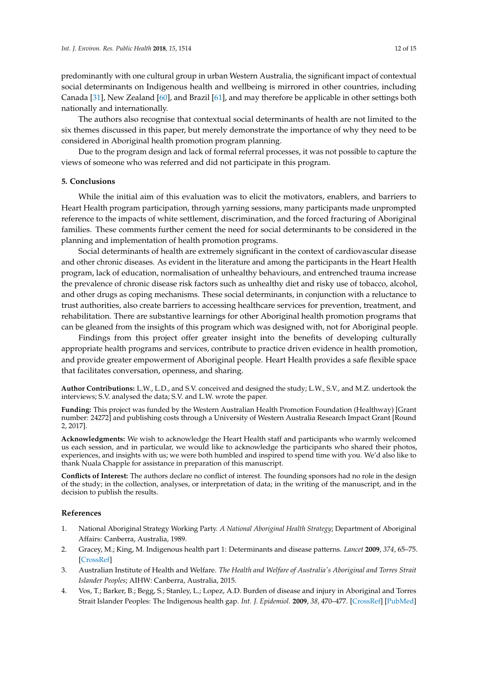predominantly with one cultural group in urban Western Australia, the significant impact of contextual social determinants on Indigenous health and wellbeing is mirrored in other countries, including Canada [\[31\]](#page-13-3), New Zealand [\[60\]](#page-14-12), and Brazil [\[61\]](#page-14-13), and may therefore be applicable in other settings both nationally and internationally.

The authors also recognise that contextual social determinants of health are not limited to the six themes discussed in this paper, but merely demonstrate the importance of why they need to be considered in Aboriginal health promotion program planning.

Due to the program design and lack of formal referral processes, it was not possible to capture the views of someone who was referred and did not participate in this program.

### **5. Conclusions**

While the initial aim of this evaluation was to elicit the motivators, enablers, and barriers to Heart Health program participation, through yarning sessions, many participants made unprompted reference to the impacts of white settlement, discrimination, and the forced fracturing of Aboriginal families. These comments further cement the need for social determinants to be considered in the planning and implementation of health promotion programs.

Social determinants of health are extremely significant in the context of cardiovascular disease and other chronic diseases. As evident in the literature and among the participants in the Heart Health program, lack of education, normalisation of unhealthy behaviours, and entrenched trauma increase the prevalence of chronic disease risk factors such as unhealthy diet and risky use of tobacco, alcohol, and other drugs as coping mechanisms. These social determinants, in conjunction with a reluctance to trust authorities, also create barriers to accessing healthcare services for prevention, treatment, and rehabilitation. There are substantive learnings for other Aboriginal health promotion programs that can be gleaned from the insights of this program which was designed with, not for Aboriginal people.

Findings from this project offer greater insight into the benefits of developing culturally appropriate health programs and services, contribute to practice driven evidence in health promotion, and provide greater empowerment of Aboriginal people. Heart Health provides a safe flexible space that facilitates conversation, openness, and sharing.

**Author Contributions:** L.W., L.D., and S.V. conceived and designed the study; L.W., S.V., and M.Z. undertook the interviews; S.V. analysed the data; S.V. and L.W. wrote the paper.

**Funding:** This project was funded by the Western Australian Health Promotion Foundation (Healthway) [Grant number: 24272] and publishing costs through a University of Western Australia Research Impact Grant [Round 2, 2017].

**Acknowledgments:** We wish to acknowledge the Heart Health staff and participants who warmly welcomed us each session, and in particular, we would like to acknowledge the participants who shared their photos, experiences, and insights with us; we were both humbled and inspired to spend time with you. We'd also like to thank Nuala Chapple for assistance in preparation of this manuscript.

**Conflicts of Interest:** The authors declare no conflict of interest. The founding sponsors had no role in the design of the study; in the collection, analyses, or interpretation of data; in the writing of the manuscript, and in the decision to publish the results.

## **References**

- <span id="page-11-0"></span>1. National Aboriginal Strategy Working Party. *A National Aboriginal Health Strategy*; Department of Aboriginal Affairs: Canberra, Australia, 1989.
- <span id="page-11-1"></span>2. Gracey, M.; King, M. Indigenous health part 1: Determinants and disease patterns. *Lancet* **2009**, *374*, 65–75. [\[CrossRef\]](http://dx.doi.org/10.1016/S0140-6736(09)60914-4)
- <span id="page-11-2"></span>3. Australian Institute of Health and Welfare. *The Health and Welfare of Australia's Aboriginal and Torres Strait Islander Peoples*; AIHW: Canberra, Australia, 2015.
- <span id="page-11-3"></span>4. Vos, T.; Barker, B.; Begg, S.; Stanley, L.; Lopez, A.D. Burden of disease and injury in Aboriginal and Torres Strait Islander Peoples: The Indigenous health gap. *Int. J. Epidemiol.* **2009**, *38*, 470–477. [\[CrossRef\]](http://dx.doi.org/10.1093/ije/dyn240) [\[PubMed\]](http://www.ncbi.nlm.nih.gov/pubmed/19047078)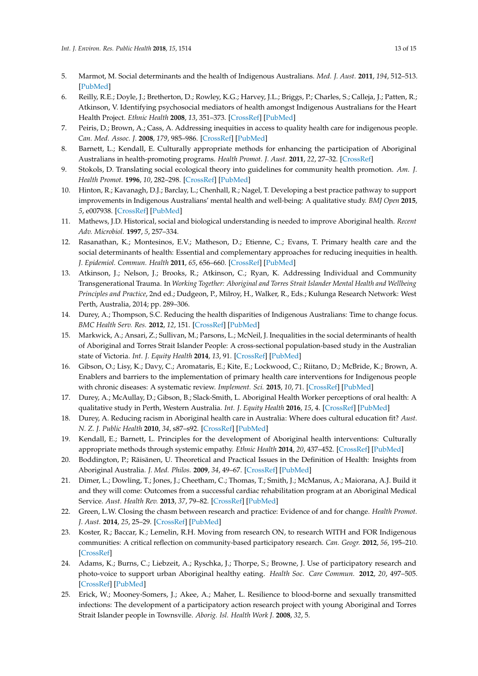- <span id="page-12-0"></span>5. Marmot, M. Social determinants and the health of Indigenous Australians. *Med. J. Aust.* **2011**, *194*, 512–513. [\[PubMed\]](http://www.ncbi.nlm.nih.gov/pubmed/21644897)
- <span id="page-12-1"></span>6. Reilly, R.E.; Doyle, J.; Bretherton, D.; Rowley, K.G.; Harvey, J.L.; Briggs, P.; Charles, S.; Calleja, J.; Patten, R.; Atkinson, V. Identifying psychosocial mediators of health amongst Indigenous Australians for the Heart Health Project. *Ethnic Health* **2008**, *13*, 351–373. [\[CrossRef\]](http://dx.doi.org/10.1080/13557850801903046) [\[PubMed\]](http://www.ncbi.nlm.nih.gov/pubmed/18701994)
- <span id="page-12-2"></span>7. Peiris, D.; Brown, A.; Cass, A. Addressing inequities in access to quality health care for indigenous people. *Can. Med. Assoc. J.* **2008**, *179*, 985–986. [\[CrossRef\]](http://dx.doi.org/10.1503/cmaj.081445) [\[PubMed\]](http://www.ncbi.nlm.nih.gov/pubmed/18981431)
- <span id="page-12-3"></span>8. Barnett, L.; Kendall, E. Culturally appropriate methods for enhancing the participation of Aboriginal Australians in health-promoting programs. *Health Promot. J. Aust.* **2011**, *22*, 27–32. [\[CrossRef\]](http://dx.doi.org/10.1071/HE11027)
- <span id="page-12-4"></span>9. Stokols, D. Translating social ecological theory into guidelines for community health promotion. *Am. J. Health Promot.* **1996**, *10*, 282–298. [\[CrossRef\]](http://dx.doi.org/10.4278/0890-1171-10.4.282) [\[PubMed\]](http://www.ncbi.nlm.nih.gov/pubmed/10159709)
- <span id="page-12-5"></span>10. Hinton, R.; Kavanagh, D.J.; Barclay, L.; Chenhall, R.; Nagel, T. Developing a best practice pathway to support improvements in Indigenous Australians' mental health and well-being: A qualitative study. *BMJ Open* **2015**, *5*, e007938. [\[CrossRef\]](http://dx.doi.org/10.1136/bmjopen-2015-007938) [\[PubMed\]](http://www.ncbi.nlm.nih.gov/pubmed/26316649)
- <span id="page-12-6"></span>11. Mathews, J.D. Historical, social and biological understanding is needed to improve Aboriginal health. *Recent Adv. Microbiol.* **1997**, *5*, 257–334.
- <span id="page-12-7"></span>12. Rasanathan, K.; Montesinos, E.V.; Matheson, D.; Etienne, C.; Evans, T. Primary health care and the social determinants of health: Essential and complementary approaches for reducing inequities in health. *J. Epidemiol. Commun. Health* **2011**, *65*, 656–660. [\[CrossRef\]](http://dx.doi.org/10.1136/jech.2009.093914) [\[PubMed\]](http://www.ncbi.nlm.nih.gov/pubmed/19933684)
- <span id="page-12-8"></span>13. Atkinson, J.; Nelson, J.; Brooks, R.; Atkinson, C.; Ryan, K. Addressing Individual and Community Transgenerational Trauma. In *Working Together: Aboriginal and Torres Strait Islander Mental Health and Wellbeing Principles and Practice*, 2nd ed.; Dudgeon, P., Milroy, H., Walker, R., Eds.; Kulunga Research Network: West Perth, Australia, 2014; pp. 289–306.
- <span id="page-12-9"></span>14. Durey, A.; Thompson, S.C. Reducing the health disparities of Indigenous Australians: Time to change focus. *BMC Health Serv. Res.* **2012**, *12*, 151. [\[CrossRef\]](http://dx.doi.org/10.1186/1472-6963-12-151) [\[PubMed\]](http://www.ncbi.nlm.nih.gov/pubmed/22682494)
- <span id="page-12-10"></span>15. Markwick, A.; Ansari, Z.; Sullivan, M.; Parsons, L.; McNeil, J. Inequalities in the social determinants of health of Aboriginal and Torres Strait Islander People: A cross-sectional population-based study in the Australian state of Victoria. *Int. J. Equity Health* **2014**, *13*, 91. [\[CrossRef\]](http://dx.doi.org/10.1186/s12939-014-0091-5) [\[PubMed\]](http://www.ncbi.nlm.nih.gov/pubmed/25326177)
- <span id="page-12-14"></span>16. Gibson, O.; Lisy, K.; Davy, C.; Aromataris, E.; Kite, E.; Lockwood, C.; Riitano, D.; McBride, K.; Brown, A. Enablers and barriers to the implementation of primary health care interventions for Indigenous people with chronic diseases: A systematic review. *Implement. Sci.* **2015**, *10*, 71. [\[CrossRef\]](http://dx.doi.org/10.1186/s13012-015-0261-x) [\[PubMed\]](http://www.ncbi.nlm.nih.gov/pubmed/25998148)
- 17. Durey, A.; McAullay, D.; Gibson, B.; Slack-Smith, L. Aboriginal Health Worker perceptions of oral health: A qualitative study in Perth, Western Australia. *Int. J. Equity Health* **2016**, *15*, 4. [\[CrossRef\]](http://dx.doi.org/10.1186/s12939-016-0299-7) [\[PubMed\]](http://www.ncbi.nlm.nih.gov/pubmed/26754073)
- 18. Durey, A. Reducing racism in Aboriginal health care in Australia: Where does cultural education fit? *Aust. N. Z. J. Public Health* **2010**, *34*, s87–s92. [\[CrossRef\]](http://dx.doi.org/10.1111/j.1753-6405.2010.00560.x) [\[PubMed\]](http://www.ncbi.nlm.nih.gov/pubmed/20618302)
- <span id="page-12-11"></span>19. Kendall, E.; Barnett, L. Principles for the development of Aboriginal health interventions: Culturally appropriate methods through systemic empathy. *Ethnic Health* **2014**, *20*, 437–452. [\[CrossRef\]](http://dx.doi.org/10.1080/13557858.2014.921897) [\[PubMed\]](http://www.ncbi.nlm.nih.gov/pubmed/24993550)
- <span id="page-12-12"></span>20. Boddington, P.; Räisänen, U. Theoretical and Practical Issues in the Definition of Health: Insights from Aboriginal Australia. *J. Med. Philos.* **2009**, *34*, 49–67. [\[CrossRef\]](http://dx.doi.org/10.1093/jmp/jhn035) [\[PubMed\]](http://www.ncbi.nlm.nih.gov/pubmed/19181891)
- <span id="page-12-13"></span>21. Dimer, L.; Dowling, T.; Jones, J.; Cheetham, C.; Thomas, T.; Smith, J.; McManus, A.; Maiorana, A.J. Build it and they will come: Outcomes from a successful cardiac rehabilitation program at an Aboriginal Medical Service. *Aust. Health Rev.* **2013**, *37*, 79–82. [\[CrossRef\]](http://dx.doi.org/10.1071/AH11122) [\[PubMed\]](http://www.ncbi.nlm.nih.gov/pubmed/23257265)
- <span id="page-12-15"></span>22. Green, L.W. Closing the chasm between research and practice: Evidence of and for change. *Health Promot. J. Aust.* **2014**, *25*, 25–29. [\[CrossRef\]](http://dx.doi.org/10.1071/HE13101) [\[PubMed\]](http://www.ncbi.nlm.nih.gov/pubmed/24666557)
- <span id="page-12-16"></span>23. Koster, R.; Baccar, K.; Lemelin, R.H. Moving from research ON, to research WITH and FOR Indigenous communities: A critical reflection on community-based participatory research. *Can. Geogr.* **2012**, *56*, 195–210. [\[CrossRef\]](http://dx.doi.org/10.1111/j.1541-0064.2012.00428.x)
- <span id="page-12-17"></span>24. Adams, K.; Burns, C.; Liebzeit, A.; Ryschka, J.; Thorpe, S.; Browne, J. Use of participatory research and photo-voice to support urban Aboriginal healthy eating. *Health Soc. Care Commun.* **2012**, *20*, 497–505. [\[CrossRef\]](http://dx.doi.org/10.1111/j.1365-2524.2011.01056.x) [\[PubMed\]](http://www.ncbi.nlm.nih.gov/pubmed/22390223)
- 25. Erick, W.; Mooney-Somers, J.; Akee, A.; Maher, L. Resilience to blood-borne and sexually transmitted infections: The development of a participatory action research project with young Aboriginal and Torres Strait Islander people in Townsville. *Aborig. Isl. Health Work J.* **2008**, *32*, 5.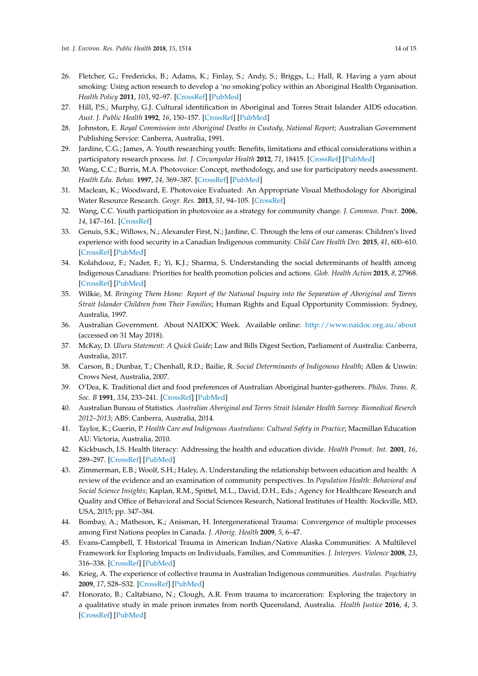- 26. Fletcher, G.; Fredericks, B.; Adams, K.; Finlay, S.; Andy, S.; Briggs, L.; Hall, R. Having a yarn about smoking: Using action research to develop a 'no smoking'policy within an Aboriginal Health Organisation. *Health Policy* **2011**, *103*, 92–97. [\[CrossRef\]](http://dx.doi.org/10.1016/j.healthpol.2011.06.014) [\[PubMed\]](http://www.ncbi.nlm.nih.gov/pubmed/21831471)
- 27. Hill, P.S.; Murphy, G.J. Cultural identification in Aboriginal and Torres Strait Islander AIDS education. *Aust. J. Public Health* **1992**, *16*, 150–157. [\[CrossRef\]](http://dx.doi.org/10.1111/j.1753-6405.1992.tb00044.x) [\[PubMed\]](http://www.ncbi.nlm.nih.gov/pubmed/1391156)
- <span id="page-13-0"></span>28. Johnston, E. *Royal Commission into Aboriginal Deaths in Custody, National Report*; Australian Government Publishing Service: Canberra, Australia, 1991.
- <span id="page-13-1"></span>29. Jardine, C.G.; James, A. Youth researching youth: Benefits, limitations and ethical considerations within a participatory research process. *Int. J. Circumpolar Health* **2012**, *71*, 18415. [\[CrossRef\]](http://dx.doi.org/10.3402/ijch.v71i0.18415) [\[PubMed\]](http://www.ncbi.nlm.nih.gov/pubmed/22584512)
- <span id="page-13-2"></span>30. Wang, C.C.; Burris, M.A. Photovoice: Concept, methodology, and use for participatory needs assessment. *Health Edu. Behav.* **1997**, *24*, 369–387. [\[CrossRef\]](http://dx.doi.org/10.1177/109019819702400309) [\[PubMed\]](http://www.ncbi.nlm.nih.gov/pubmed/9158980)
- <span id="page-13-3"></span>31. Maclean, K.; Woodward, E. Photovoice Evaluated: An Appropriate Visual Methodology for Aboriginal Water Resource Research. *Geogr. Res.* **2013**, *51*, 94–105. [\[CrossRef\]](http://dx.doi.org/10.1111/j.1745-5871.2012.00782.x)
- <span id="page-13-4"></span>32. Wang, C.C. Youth participation in photovoice as a strategy for community change. *J. Commun. Pract.* **2006**, *14*, 147–161. [\[CrossRef\]](http://dx.doi.org/10.1300/J125v14n01_09)
- <span id="page-13-5"></span>33. Genuis, S.K.; Willows, N.; Alexander First, N.; Jardine, C. Through the lens of our cameras: Children's lived experience with food security in a Canadian Indigenous community. *Child Care Health Dev.* **2015**, *41*, 600–610. [\[CrossRef\]](http://dx.doi.org/10.1111/cch.12182) [\[PubMed\]](http://www.ncbi.nlm.nih.gov/pubmed/25074624)
- <span id="page-13-6"></span>34. Kolahdooz, F.; Nader, F.; Yi, K.J.; Sharma, S. Understanding the social determinants of health among Indigenous Canadians: Priorities for health promotion policies and actions. *Glob. Health Action* **2015**, *8*, 27968. [\[CrossRef\]](http://dx.doi.org/10.3402/gha.v8.27968) [\[PubMed\]](http://www.ncbi.nlm.nih.gov/pubmed/26187697)
- <span id="page-13-7"></span>35. Wilkie, M. *Bringing Them Home: Report of the National Inquiry into the Separation of Aboriginal and Torres Strait Islander Children from Their Families*; Human Rights and Equal Opportunity Commission: Sydney, Australia, 1997.
- <span id="page-13-8"></span>36. Australian Government. About NAIDOC Week. Available online: <http://www.naidoc.org.au/about> (accessed on 31 May 2018).
- <span id="page-13-9"></span>37. McKay, D. *Uluru Statement: A Quick Guide*; Law and Bills Digest Section, Parliament of Australia: Canberra, Australia, 2017.
- <span id="page-13-10"></span>38. Carson, B.; Dunbar, T.; Chenhall, R.D.; Bailie, R. *Social Determinants of Indigenous Health*; Allen & Unwin: Crows Nest, Australia, 2007.
- <span id="page-13-11"></span>39. O'Dea, K. Traditional diet and food preferences of Australian Aboriginal hunter-gatherers. *Philos. Trans. R. Soc. B* **1991**, *334*, 233–241. [\[CrossRef\]](http://dx.doi.org/10.1098/rstb.1991.0112) [\[PubMed\]](http://www.ncbi.nlm.nih.gov/pubmed/1685581)
- <span id="page-13-12"></span>40. Australian Bureau of Statistics. *Australian Aboriginal and Torres Strait Islander Health Survey: Biomedical Reserch 2012–2013*; ABS: Canberra, Australia, 2014.
- <span id="page-13-13"></span>41. Taylor, K.; Guerin, P. *Health Care and Indigenous Australians: Cultural Safety in Practice*; Macmillan Education AU: Victoria, Australia, 2010.
- <span id="page-13-14"></span>42. Kickbusch, I.S. Health literacy: Addressing the health and education divide. *Health Promot. Int.* **2001**, *16*, 289–297. [\[CrossRef\]](http://dx.doi.org/10.1093/heapro/16.3.289) [\[PubMed\]](http://www.ncbi.nlm.nih.gov/pubmed/11509466)
- <span id="page-13-15"></span>43. Zimmerman, E.B.; Woolf, S.H.; Haley, A. Understanding the relationship between education and health: A review of the evidence and an examination of community perspectives. In *Population Health: Behavioral and Social Science Insights*; Kaplan, R.M., Spittel, M.L., David, D.H., Eds.; Agency for Healthcare Research and Quality and Office of Behavioral and Social Sciences Research, National Institutes of Health: Rockville, MD, USA, 2015; pp. 347–384.
- <span id="page-13-16"></span>44. Bombay, A.; Matheson, K.; Anisman, H. Intergenerational Trauma: Convergence of multiple processes among First Nations peoples in Canada. *J. Aborig. Health* **2009**, *5*, 6–47.
- <span id="page-13-17"></span>45. Evans-Campbell, T. Historical Trauma in American Indian/Native Alaska Communities: A Multilevel Framework for Exploring Impacts on Individuals, Families, and Communities. *J. Interpers. Violence* **2008**, *23*, 316–338. [\[CrossRef\]](http://dx.doi.org/10.1177/0886260507312290) [\[PubMed\]](http://www.ncbi.nlm.nih.gov/pubmed/18245571)
- <span id="page-13-18"></span>46. Krieg, A. The experience of collective trauma in Australian Indigenous communities. *Australas. Psychiatry* **2009**, *17*, S28–S32. [\[CrossRef\]](http://dx.doi.org/10.1080/10398560902948621) [\[PubMed\]](http://www.ncbi.nlm.nih.gov/pubmed/19579102)
- <span id="page-13-19"></span>47. Honorato, B.; Caltabiano, N.; Clough, A.R. From trauma to incarceration: Exploring the trajectory in a qualitative study in male prison inmates from north Queensland, Australia. *Health Justice* **2016**, *4*, 3. [\[CrossRef\]](http://dx.doi.org/10.1186/s40352-016-0034-x) [\[PubMed\]](http://www.ncbi.nlm.nih.gov/pubmed/27077018)